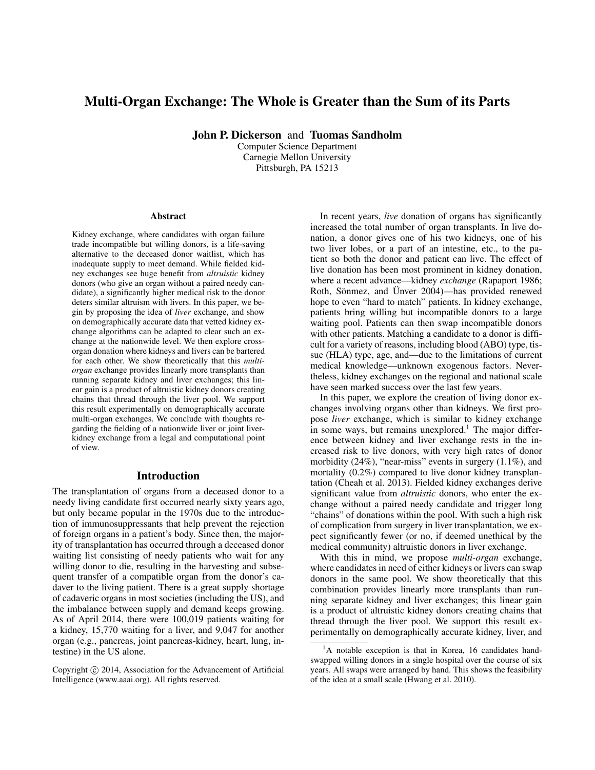# Multi-Organ Exchange: The Whole is Greater than the Sum of its Parts

John P. Dickerson and Tuomas Sandholm

Computer Science Department Carnegie Mellon University Pittsburgh, PA 15213

#### Abstract

Kidney exchange, where candidates with organ failure trade incompatible but willing donors, is a life-saving alternative to the deceased donor waitlist, which has inadequate supply to meet demand. While fielded kidney exchanges see huge benefit from *altruistic* kidney donors (who give an organ without a paired needy candidate), a significantly higher medical risk to the donor deters similar altruism with livers. In this paper, we begin by proposing the idea of *liver* exchange, and show on demographically accurate data that vetted kidney exchange algorithms can be adapted to clear such an exchange at the nationwide level. We then explore crossorgan donation where kidneys and livers can be bartered for each other. We show theoretically that this *multiorgan* exchange provides linearly more transplants than running separate kidney and liver exchanges; this linear gain is a product of altruistic kidney donors creating chains that thread through the liver pool. We support this result experimentally on demographically accurate multi-organ exchanges. We conclude with thoughts regarding the fielding of a nationwide liver or joint liverkidney exchange from a legal and computational point of view.

## Introduction

The transplantation of organs from a deceased donor to a needy living candidate first occurred nearly sixty years ago, but only became popular in the 1970s due to the introduction of immunosuppressants that help prevent the rejection of foreign organs in a patient's body. Since then, the majority of transplantation has occurred through a deceased donor waiting list consisting of needy patients who wait for any willing donor to die, resulting in the harvesting and subsequent transfer of a compatible organ from the donor's cadaver to the living patient. There is a great supply shortage of cadaveric organs in most societies (including the US), and the imbalance between supply and demand keeps growing. As of April 2014, there were 100,019 patients waiting for a kidney, 15,770 waiting for a liver, and 9,047 for another organ (e.g., pancreas, joint pancreas-kidney, heart, lung, intestine) in the US alone.

In recent years, *live* donation of organs has significantly increased the total number of organ transplants. In live donation, a donor gives one of his two kidneys, one of his two liver lobes, or a part of an intestine, etc., to the patient so both the donor and patient can live. The effect of live donation has been most prominent in kidney donation, where a recent advance—kidney *exchange* (Rapaport 1986; Roth, Sönmez, and Ünver 2004)—has provided renewed hope to even "hard to match" patients. In kidney exchange, patients bring willing but incompatible donors to a large waiting pool. Patients can then swap incompatible donors with other patients. Matching a candidate to a donor is difficult for a variety of reasons, including blood (ABO) type, tissue (HLA) type, age, and—due to the limitations of current medical knowledge—unknown exogenous factors. Nevertheless, kidney exchanges on the regional and national scale have seen marked success over the last few years.

In this paper, we explore the creation of living donor exchanges involving organs other than kidneys. We first propose *liver* exchange, which is similar to kidney exchange in some ways, but remains unexplored.<sup>1</sup> The major difference between kidney and liver exchange rests in the increased risk to live donors, with very high rates of donor morbidity (24%), "near-miss" events in surgery (1.1%), and mortality  $(0.2\%)$  compared to live donor kidney transplantation (Cheah et al. 2013). Fielded kidney exchanges derive significant value from *altruistic* donors, who enter the exchange without a paired needy candidate and trigger long "chains" of donations within the pool. With such a high risk of complication from surgery in liver transplantation, we expect significantly fewer (or no, if deemed unethical by the medical community) altruistic donors in liver exchange.

With this in mind, we propose *multi-organ* exchange, where candidates in need of either kidneys or livers can swap donors in the same pool. We show theoretically that this combination provides linearly more transplants than running separate kidney and liver exchanges; this linear gain is a product of altruistic kidney donors creating chains that thread through the liver pool. We support this result experimentally on demographically accurate kidney, liver, and

Copyright (c) 2014, Association for the Advancement of Artificial Intelligence (www.aaai.org). All rights reserved.

<sup>&</sup>lt;sup>1</sup>A notable exception is that in Korea, 16 candidates handswapped willing donors in a single hospital over the course of six years. All swaps were arranged by hand. This shows the feasibility of the idea at a small scale (Hwang et al. 2010).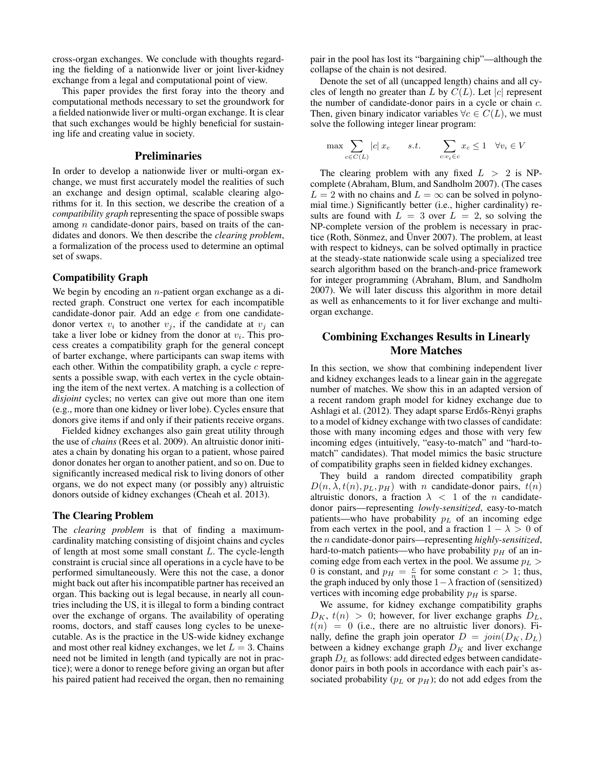cross-organ exchanges. We conclude with thoughts regarding the fielding of a nationwide liver or joint liver-kidney exchange from a legal and computational point of view.

This paper provides the first foray into the theory and computational methods necessary to set the groundwork for a fielded nationwide liver or multi-organ exchange. It is clear that such exchanges would be highly beneficial for sustaining life and creating value in society.

### **Preliminaries**

In order to develop a nationwide liver or multi-organ exchange, we must first accurately model the realities of such an exchange and design optimal, scalable clearing algorithms for it. In this section, we describe the creation of a *compatibility graph* representing the space of possible swaps among  $n$  candidate-donor pairs, based on traits of the candidates and donors. We then describe the *clearing problem*, a formalization of the process used to determine an optimal set of swaps.

### Compatibility Graph

We begin by encoding an *n*-patient organ exchange as a directed graph. Construct one vertex for each incompatible candidate-donor pair. Add an edge e from one candidatedonor vertex  $v_i$  to another  $v_j$ , if the candidate at  $v_j$  can take a liver lobe or kidney from the donor at  $v_i$ . This process creates a compatibility graph for the general concept of barter exchange, where participants can swap items with each other. Within the compatibility graph, a cycle  $c$  represents a possible swap, with each vertex in the cycle obtaining the item of the next vertex. A matching is a collection of *disjoint* cycles; no vertex can give out more than one item (e.g., more than one kidney or liver lobe). Cycles ensure that donors give items if and only if their patients receive organs.

Fielded kidney exchanges also gain great utility through the use of *chains* (Rees et al. 2009). An altruistic donor initiates a chain by donating his organ to a patient, whose paired donor donates her organ to another patient, and so on. Due to significantly increased medical risk to living donors of other organs, we do not expect many (or possibly any) altruistic donors outside of kidney exchanges (Cheah et al. 2013).

#### The Clearing Problem

The *clearing problem* is that of finding a maximumcardinality matching consisting of disjoint chains and cycles of length at most some small constant L. The cycle-length constraint is crucial since all operations in a cycle have to be performed simultaneously. Were this not the case, a donor might back out after his incompatible partner has received an organ. This backing out is legal because, in nearly all countries including the US, it is illegal to form a binding contract over the exchange of organs. The availability of operating rooms, doctors, and staff causes long cycles to be unexecutable. As is the practice in the US-wide kidney exchange and most other real kidney exchanges, we let  $L = 3$ . Chains need not be limited in length (and typically are not in practice); were a donor to renege before giving an organ but after his paired patient had received the organ, then no remaining pair in the pool has lost its "bargaining chip"—although the collapse of the chain is not desired.

Denote the set of all (uncapped length) chains and all cycles of length no greater than L by  $C(L)$ . Let |c| represent the number of candidate-donor pairs in a cycle or chain  $c$ . Then, given binary indicator variables  $\forall c \in C(L)$ , we must solve the following integer linear program:

$$
\max \sum_{c \in C(L)} |c| \, x_c \qquad s.t. \qquad \sum_{c:v_i \in c} x_c \le 1 \quad \forall v_i \in V
$$

The clearing problem with any fixed  $L > 2$  is NPcomplete (Abraham, Blum, and Sandholm 2007). (The cases  $L = 2$  with no chains and  $L = \infty$  can be solved in polynomial time.) Significantly better (i.e., higher cardinality) results are found with  $L = 3$  over  $L = 2$ , so solving the NP-complete version of the problem is necessary in practice (Roth, Sönmez, and Ünver 2007). The problem, at least with respect to kidneys, can be solved optimally in practice at the steady-state nationwide scale using a specialized tree search algorithm based on the branch-and-price framework for integer programming (Abraham, Blum, and Sandholm 2007). We will later discuss this algorithm in more detail as well as enhancements to it for liver exchange and multiorgan exchange.

## Combining Exchanges Results in Linearly More Matches

In this section, we show that combining independent liver and kidney exchanges leads to a linear gain in the aggregate number of matches. We show this in an adapted version of a recent random graph model for kidney exchange due to Ashlagi et al. (2012). They adapt sparse Erdős-Rènyi graphs to a model of kidney exchange with two classes of candidate: those with many incoming edges and those with very few incoming edges (intuitively, "easy-to-match" and "hard-tomatch" candidates). That model mimics the basic structure of compatibility graphs seen in fielded kidney exchanges.

They build a random directed compatibility graph  $D(n, \lambda, t(n), p_L, p_H)$  with n candidate-donor pairs,  $t(n)$ altruistic donors, a fraction  $\lambda$  < 1 of the *n* candidatedonor pairs—representing *lowly-sensitized*, easy-to-match patients—who have probability  $p<sub>L</sub>$  of an incoming edge from each vertex in the pool, and a fraction  $1 - \lambda > 0$  of the n candidate-donor pairs—representing *highly-sensitized*, hard-to-match patients—who have probability  $p<sub>H</sub>$  of an incoming edge from each vertex in the pool. We assume  $p_L$ 0 is constant, and  $p_H = \frac{c}{n}$  for some constant  $c > 1$ ; thus, the graph induced by only those  $1-\lambda$  fraction of (sensitized) vertices with incoming edge probability  $p<sub>H</sub>$  is sparse.

We assume, for kidney exchange compatibility graphs  $D_K$ ,  $t(n) > 0$ ; however, for liver exchange graphs  $D_L$ ,  $t(n) = 0$  (i.e., there are no altruistic liver donors). Finally, define the graph join operator  $D = join(D<sub>K</sub>, D<sub>L</sub>)$ between a kidney exchange graph  $D<sub>K</sub>$  and liver exchange graph  $D<sub>L</sub>$  as follows: add directed edges between candidatedonor pairs in both pools in accordance with each pair's associated probability ( $p_L$  or  $p_H$ ); do not add edges from the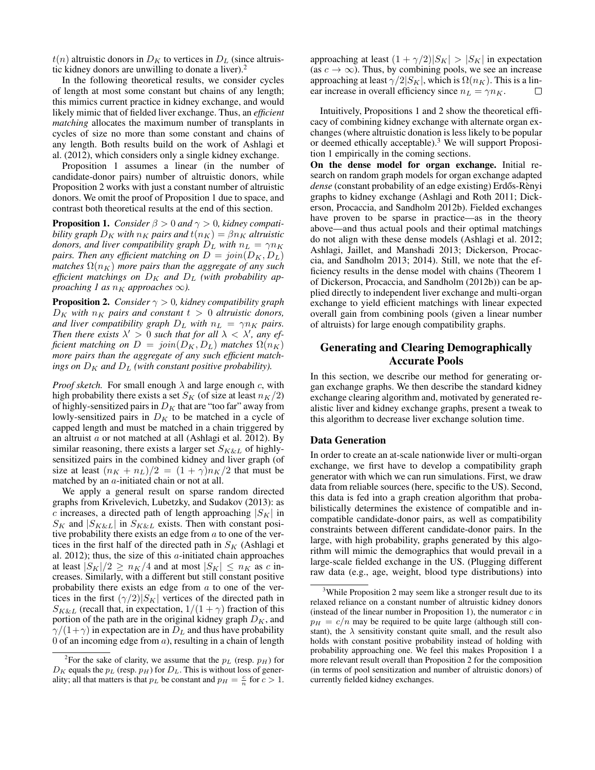$t(n)$  altruistic donors in  $D<sub>K</sub>$  to vertices in  $D<sub>L</sub>$  (since altruistic kidney donors are unwilling to donate a liver). $<sup>2</sup>$ </sup>

In the following theoretical results, we consider cycles of length at most some constant but chains of any length; this mimics current practice in kidney exchange, and would likely mimic that of fielded liver exchange. Thus, an *efficient matching* allocates the maximum number of transplants in cycles of size no more than some constant and chains of any length. Both results build on the work of Ashlagi et al. (2012), which considers only a single kidney exchange.

Proposition 1 assumes a linear (in the number of candidate-donor pairs) number of altruistic donors, while Proposition 2 works with just a constant number of altruistic donors. We omit the proof of Proposition 1 due to space, and contrast both theoretical results at the end of this section.

**Proposition 1.** *Consider*  $\beta > 0$  *and*  $\gamma > 0$ *, kidney compatibility graph*  $D_K$  *with*  $n_K$  *pairs and*  $t(n_K) = \beta n_K$  *altruistic donors, and liver compatibility graph*  $D_L$  *with*  $n_L = \gamma n_K$ *pairs. Then any efficient matching on*  $D = join(D_K, D_L)$ *matches*  $\Omega(n_K)$  *more pairs than the aggregate of any such efficient matchings on*  $D_K$  *and*  $D_L$  *(with probability approaching 1 as*  $n_K$  *approaches*  $\infty$ *).* 

**Proposition 2.** *Consider*  $\gamma > 0$ *, kidney compatibility graph*  $D_K$  with  $n_K$  pairs and constant  $t > 0$  altruistic donors, *and liver compatibility graph*  $D_L$  *with*  $n_L = \gamma n_K$  *pairs. Then there exists*  $\lambda' > 0$  *such that for all*  $\lambda < \lambda'$ *, any efficient matching on*  $D = join(D_K, D_L)$  *matches*  $\Omega(n_K)$ *more pairs than the aggregate of any such efficient matchings on*  $D_K$  *and*  $D_L$  *(with constant positive probability).* 

*Proof sketch.* For small enough  $\lambda$  and large enough c, with high probability there exists a set  $S_K$  (of size at least  $n_K/2$ ) of highly-sensitized pairs in  $D<sub>K</sub>$  that are "too far" away from lowly-sensitized pairs in  $D<sub>K</sub>$  to be matched in a cycle of capped length and must be matched in a chain triggered by an altruist  $a$  or not matched at all (Ashlagi et al. 2012). By similar reasoning, there exists a larger set  $S_{K\&L}$  of highlysensitized pairs in the combined kidney and liver graph (of size at least  $(n_K + n_L)/2 = (1 + \gamma)n_K/2$  that must be matched by an a-initiated chain or not at all.

We apply a general result on sparse random directed graphs from Krivelevich, Lubetzky, and Sudakov (2013): as c increases, a directed path of length approaching  $|S_K|$  in  $S_K$  and  $|S_{K\&L}|$  in  $S_{K\&L}$  exists. Then with constant positive probability there exists an edge from  $a$  to one of the vertices in the first half of the directed path in  $S_K$  (Ashlagi et al. 2012); thus, the size of this  $a$ -initiated chain approaches at least  $|S_K|/2 \geq n_K/4$  and at most  $|S_K| \leq n_K$  as c increases. Similarly, with a different but still constant positive probability there exists an edge from  $a$  to one of the vertices in the first  $(\gamma/2)|S_K|$  vertices of the directed path in  $S_{K\&L}$  (recall that, in expectation,  $1/(1 + \gamma)$  fraction of this portion of the path are in the original kidney graph  $D_K$ , and  $\gamma/(1+\gamma)$  in expectation are in  $D<sub>L</sub>$  and thus have probability 0 of an incoming edge from  $a$ ), resulting in a chain of length

approaching at least  $(1 + \gamma/2)|S_K| > |S_K|$  in expectation (as  $c \to \infty$ ). Thus, by combining pools, we see an increase approaching at least  $\gamma/2|S_K|$ , which is  $\Omega(n_K)$ . This is a linear increase in overall efficiency since  $n_L = \gamma n_K$ . ear increase in overall efficiency since  $n_L = \gamma n_K$ .

Intuitively, Propositions 1 and 2 show the theoretical efficacy of combining kidney exchange with alternate organ exchanges (where altruistic donation is less likely to be popular or deemed ethically acceptable).<sup>3</sup> We will support Proposition 1 empirically in the coming sections.

On the dense model for organ exchange. Initial research on random graph models for organ exchange adapted *dense* (constant probability of an edge existing) Erdős-Rènyi graphs to kidney exchange (Ashlagi and Roth 2011; Dickerson, Procaccia, and Sandholm 2012b). Fielded exchanges have proven to be sparse in practice—as in the theory above—and thus actual pools and their optimal matchings do not align with these dense models (Ashlagi et al. 2012; Ashlagi, Jaillet, and Manshadi 2013; Dickerson, Procaccia, and Sandholm 2013; 2014). Still, we note that the efficiency results in the dense model with chains (Theorem 1 of Dickerson, Procaccia, and Sandholm (2012b)) can be applied directly to independent liver exchange and multi-organ exchange to yield efficient matchings with linear expected overall gain from combining pools (given a linear number of altruists) for large enough compatibility graphs.

## Generating and Clearing Demographically Accurate Pools

In this section, we describe our method for generating organ exchange graphs. We then describe the standard kidney exchange clearing algorithm and, motivated by generated realistic liver and kidney exchange graphs, present a tweak to this algorithm to decrease liver exchange solution time.

## Data Generation

In order to create an at-scale nationwide liver or multi-organ exchange, we first have to develop a compatibility graph generator with which we can run simulations. First, we draw data from reliable sources (here, specific to the US). Second, this data is fed into a graph creation algorithm that probabilistically determines the existence of compatible and incompatible candidate-donor pairs, as well as compatibility constraints between different candidate-donor pairs. In the large, with high probability, graphs generated by this algorithm will mimic the demographics that would prevail in a large-scale fielded exchange in the US. (Plugging different raw data (e.g., age, weight, blood type distributions) into

<sup>&</sup>lt;sup>2</sup>For the sake of clarity, we assume that the  $p_L$  (resp.  $p_H$ ) for  $D_K$  equals the  $p_L$  (resp.  $p_H$ ) for  $D_L$ . This is without loss of generality; all that matters is that  $p_L$  be constant and  $p_H = \frac{c}{n}$  for  $c > 1$ .

<sup>&</sup>lt;sup>3</sup>While Proposition 2 may seem like a stronger result due to its relaxed reliance on a constant number of altruistic kidney donors (instead of the linear number in Proposition 1), the numerator  $c$  in  $p_H = c/n$  may be required to be quite large (although still constant), the  $\lambda$  sensitivity constant quite small, and the result also holds with constant positive probability instead of holding with probability approaching one. We feel this makes Proposition 1 a more relevant result overall than Proposition 2 for the composition (in terms of pool sensitization and number of altruistic donors) of currently fielded kidney exchanges.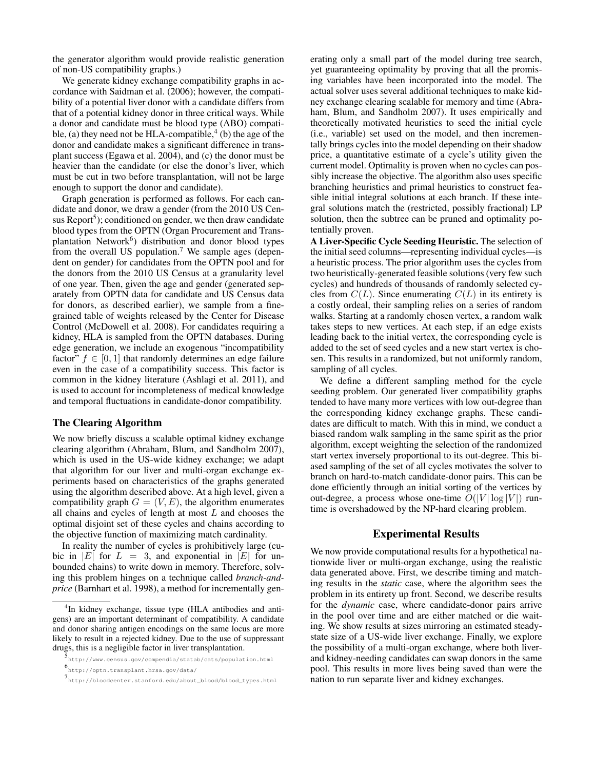the generator algorithm would provide realistic generation of non-US compatibility graphs.)

We generate kidney exchange compatibility graphs in accordance with Saidman et al. (2006); however, the compatibility of a potential liver donor with a candidate differs from that of a potential kidney donor in three critical ways. While a donor and candidate must be blood type (ABO) compatible, (a) they need not be HLA-compatible, $4$  (b) the age of the donor and candidate makes a significant difference in transplant success (Egawa et al. 2004), and (c) the donor must be heavier than the candidate (or else the donor's liver, which must be cut in two before transplantation, will not be large enough to support the donor and candidate).

Graph generation is performed as follows. For each candidate and donor, we draw a gender (from the 2010 US Census Report<sup>5</sup>); conditioned on gender, we then draw candidate blood types from the OPTN (Organ Procurement and Transplantation Network<sup>6</sup>) distribution and donor blood types from the overall US population.<sup>7</sup> We sample ages (dependent on gender) for candidates from the OPTN pool and for the donors from the 2010 US Census at a granularity level of one year. Then, given the age and gender (generated separately from OPTN data for candidate and US Census data for donors, as described earlier), we sample from a finegrained table of weights released by the Center for Disease Control (McDowell et al. 2008). For candidates requiring a kidney, HLA is sampled from the OPTN databases. During edge generation, we include an exogenous "incompatibility factor"  $f \in [0, 1]$  that randomly determines an edge failure even in the case of a compatibility success. This factor is common in the kidney literature (Ashlagi et al. 2011), and is used to account for incompleteness of medical knowledge and temporal fluctuations in candidate-donor compatibility.

#### The Clearing Algorithm

We now briefly discuss a scalable optimal kidney exchange clearing algorithm (Abraham, Blum, and Sandholm 2007), which is used in the US-wide kidney exchange; we adapt that algorithm for our liver and multi-organ exchange experiments based on characteristics of the graphs generated using the algorithm described above. At a high level, given a compatibility graph  $G = (V, E)$ , the algorithm enumerates all chains and cycles of length at most L and chooses the optimal disjoint set of these cycles and chains according to the objective function of maximizing match cardinality.

In reality the number of cycles is prohibitively large (cubic in |E| for  $L = 3$ , and exponential in |E| for unbounded chains) to write down in memory. Therefore, solving this problem hinges on a technique called *branch-andprice* (Barnhart et al. 1998), a method for incrementally generating only a small part of the model during tree search, yet guaranteeing optimality by proving that all the promising variables have been incorporated into the model. The actual solver uses several additional techniques to make kidney exchange clearing scalable for memory and time (Abraham, Blum, and Sandholm 2007). It uses empirically and theoretically motivated heuristics to seed the initial cycle (i.e., variable) set used on the model, and then incrementally brings cycles into the model depending on their shadow price, a quantitative estimate of a cycle's utility given the current model. Optimality is proven when no cycles can possibly increase the objective. The algorithm also uses specific branching heuristics and primal heuristics to construct feasible initial integral solutions at each branch. If these integral solutions match the (restricted, possibly fractional) LP solution, then the subtree can be pruned and optimality potentially proven.

A Liver-Specific Cycle Seeding Heuristic. The selection of the initial seed columns—representing individual cycles—is a heuristic process. The prior algorithm uses the cycles from two heuristically-generated feasible solutions (very few such cycles) and hundreds of thousands of randomly selected cycles from  $C(L)$ . Since enumerating  $C(L)$  in its entirety is a costly ordeal, their sampling relies on a series of random walks. Starting at a randomly chosen vertex, a random walk takes steps to new vertices. At each step, if an edge exists leading back to the initial vertex, the corresponding cycle is added to the set of seed cycles and a new start vertex is chosen. This results in a randomized, but not uniformly random, sampling of all cycles.

We define a different sampling method for the cycle seeding problem. Our generated liver compatibility graphs tended to have many more vertices with low out-degree than the corresponding kidney exchange graphs. These candidates are difficult to match. With this in mind, we conduct a biased random walk sampling in the same spirit as the prior algorithm, except weighting the selection of the randomized start vertex inversely proportional to its out-degree. This biased sampling of the set of all cycles motivates the solver to branch on hard-to-match candidate-donor pairs. This can be done efficiently through an initial sorting of the vertices by out-degree, a process whose one-time  $O(|V| \log |V|)$  runtime is overshadowed by the NP-hard clearing problem.

## Experimental Results

We now provide computational results for a hypothetical nationwide liver or multi-organ exchange, using the realistic data generated above. First, we describe timing and matching results in the *static* case, where the algorithm sees the problem in its entirety up front. Second, we describe results for the *dynamic* case, where candidate-donor pairs arrive in the pool over time and are either matched or die waiting. We show results at sizes mirroring an estimated steadystate size of a US-wide liver exchange. Finally, we explore the possibility of a multi-organ exchange, where both liverand kidney-needing candidates can swap donors in the same pool. This results in more lives being saved than were the nation to run separate liver and kidney exchanges.

<sup>4</sup> In kidney exchange, tissue type (HLA antibodies and antigens) are an important determinant of compatibility. A candidate and donor sharing antigen encodings on the same locus are more likely to result in a rejected kidney. Due to the use of suppressant drugs, this is a negligible factor in liver transplantation.

<sup>5</sup> http://www.census.gov/compendia/statab/cats/population.html

<sup>6</sup> http://optn.transplant.hrsa.gov/data/

<sup>7</sup> http://bloodcenter.stanford.edu/about\_blood/blood\_types.html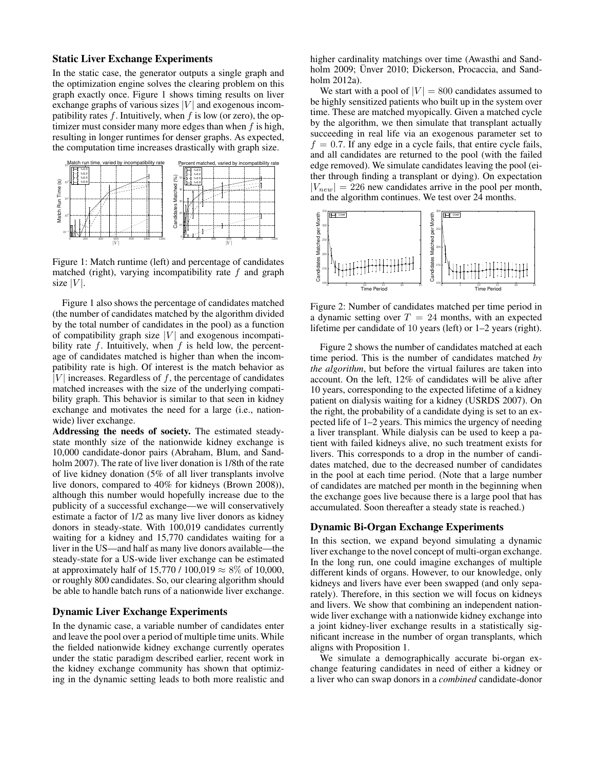### Static Liver Exchange Experiments

In the static case, the generator outputs a single graph and the optimization engine solves the clearing problem on this graph exactly once. Figure 1 shows timing results on liver exchange graphs of various sizes  $|V|$  and exogenous incompatibility rates f. Intuitively, when f is low (or zero), the optimizer must consider many more edges than when  $f$  is high, resulting in longer runtimes for denser graphs. As expected, the computation time increases drastically with graph size.



Figure 1: Match runtime (left) and percentage of candidates matched (right), varying incompatibility rate  $f$  and graph size  $|V|$ .

Figure 1 also shows the percentage of candidates matched (the number of candidates matched by the algorithm divided by the total number of candidates in the pool) as a function of compatibility graph size  $|V|$  and exogenous incompatibility rate  $f$ . Intuitively, when  $f$  is held low, the percentage of candidates matched is higher than when the incompatibility rate is high. Of interest is the match behavior as  $|V|$  increases. Regardless of f, the percentage of candidates matched increases with the size of the underlying compatibility graph. This behavior is similar to that seen in kidney exchange and motivates the need for a large (i.e., nationwide) liver exchange.

Addressing the needs of society. The estimated steadystate monthly size of the nationwide kidney exchange is 10,000 candidate-donor pairs (Abraham, Blum, and Sandholm 2007). The rate of live liver donation is 1/8th of the rate of live kidney donation (5% of all liver transplants involve live donors, compared to 40% for kidneys (Brown 2008)), although this number would hopefully increase due to the publicity of a successful exchange—we will conservatively estimate a factor of 1/2 as many live liver donors as kidney donors in steady-state. With 100,019 candidates currently waiting for a kidney and 15,770 candidates waiting for a liver in the US—and half as many live donors available—the steady-state for a US-wide liver exchange can be estimated at approximately half of 15,770 / 100,019  $\approx 8\%$  of 10,000, or roughly 800 candidates. So, our clearing algorithm should be able to handle batch runs of a nationwide liver exchange.

#### Dynamic Liver Exchange Experiments

In the dynamic case, a variable number of candidates enter and leave the pool over a period of multiple time units. While the fielded nationwide kidney exchange currently operates under the static paradigm described earlier, recent work in the kidney exchange community has shown that optimizing in the dynamic setting leads to both more realistic and higher cardinality matchings over time (Awasthi and Sandholm 2009; Ünver 2010; Dickerson, Procaccia, and Sandholm 2012a).

We start with a pool of  $|V| = 800$  candidates assumed to be highly sensitized patients who built up in the system over time. These are matched myopically. Given a matched cycle by the algorithm, we then simulate that transplant actually succeeding in real life via an exogenous parameter set to  $f = 0.7$ . If any edge in a cycle fails, that entire cycle fails, and all candidates are returned to the pool (with the failed edge removed). We simulate candidates leaving the pool (either through finding a transplant or dying). On expectation  $|V_{new}| = 226$  new candidates arrive in the pool per month, and the algorithm continues. We test over 24 months.



Figure 2: Number of candidates matched per time period in a dynamic setting over  $T = 24$  months, with an expected lifetime per candidate of 10 years (left) or 1–2 years (right).

Figure 2 shows the number of candidates matched at each time period. This is the number of candidates matched *by the algorithm*, but before the virtual failures are taken into account. On the left, 12% of candidates will be alive after 10 years, corresponding to the expected lifetime of a kidney patient on dialysis waiting for a kidney (USRDS 2007). On the right, the probability of a candidate dying is set to an expected life of 1–2 years. This mimics the urgency of needing a liver transplant. While dialysis can be used to keep a patient with failed kidneys alive, no such treatment exists for livers. This corresponds to a drop in the number of candidates matched, due to the decreased number of candidates in the pool at each time period. (Note that a large number of candidates are matched per month in the beginning when the exchange goes live because there is a large pool that has accumulated. Soon thereafter a steady state is reached.)

#### Dynamic Bi-Organ Exchange Experiments

In this section, we expand beyond simulating a dynamic liver exchange to the novel concept of multi-organ exchange. In the long run, one could imagine exchanges of multiple different kinds of organs. However, to our knowledge, only kidneys and livers have ever been swapped (and only separately). Therefore, in this section we will focus on kidneys and livers. We show that combining an independent nationwide liver exchange with a nationwide kidney exchange into a joint kidney-liver exchange results in a statistically significant increase in the number of organ transplants, which aligns with Proposition 1.

We simulate a demographically accurate bi-organ exchange featuring candidates in need of either a kidney or a liver who can swap donors in a *combined* candidate-donor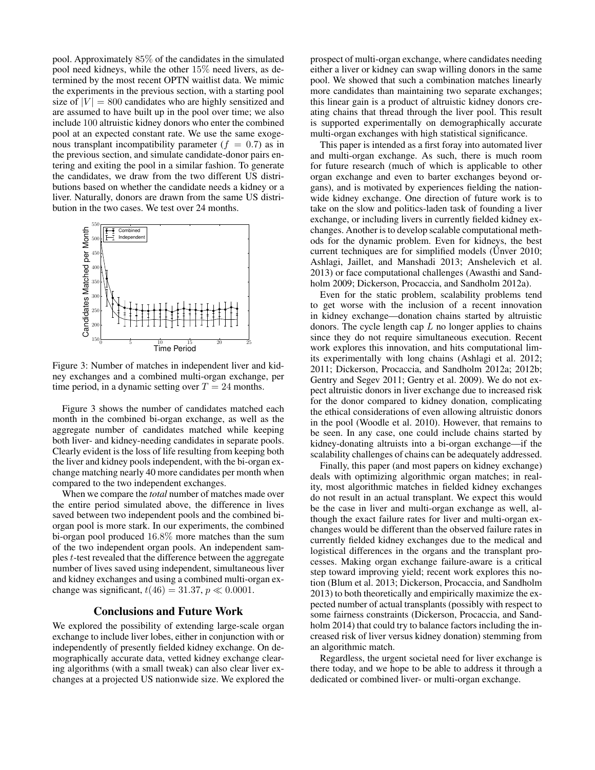pool. Approximately 85% of the candidates in the simulated pool need kidneys, while the other 15% need livers, as determined by the most recent OPTN waitlist data. We mimic the experiments in the previous section, with a starting pool size of  $|V| = 800$  candidates who are highly sensitized and are assumed to have built up in the pool over time; we also include 100 altruistic kidney donors who enter the combined pool at an expected constant rate. We use the same exogenous transplant incompatibility parameter ( $f = 0.7$ ) as in the previous section, and simulate candidate-donor pairs entering and exiting the pool in a similar fashion. To generate the candidates, we draw from the two different US distributions based on whether the candidate needs a kidney or a liver. Naturally, donors are drawn from the same US distribution in the two cases. We test over 24 months.



Figure 3: Number of matches in independent liver and kidney exchanges and a combined multi-organ exchange, per time period, in a dynamic setting over  $T = 24$  months.

Figure 3 shows the number of candidates matched each month in the combined bi-organ exchange, as well as the aggregate number of candidates matched while keeping both liver- and kidney-needing candidates in separate pools. Clearly evident is the loss of life resulting from keeping both the liver and kidney pools independent, with the bi-organ exchange matching nearly 40 more candidates per month when compared to the two independent exchanges.

When we compare the *total* number of matches made over the entire period simulated above, the difference in lives saved between two independent pools and the combined biorgan pool is more stark. In our experiments, the combined bi-organ pool produced 16.8% more matches than the sum of the two independent organ pools. An independent samples t-test revealed that the difference between the aggregate number of lives saved using independent, simultaneous liver and kidney exchanges and using a combined multi-organ exchange was significant,  $t(46) = 31.37, p \ll 0.0001$ .

### Conclusions and Future Work

We explored the possibility of extending large-scale organ exchange to include liver lobes, either in conjunction with or independently of presently fielded kidney exchange. On demographically accurate data, vetted kidney exchange clearing algorithms (with a small tweak) can also clear liver exchanges at a projected US nationwide size. We explored the prospect of multi-organ exchange, where candidates needing either a liver or kidney can swap willing donors in the same pool. We showed that such a combination matches linearly more candidates than maintaining two separate exchanges; this linear gain is a product of altruistic kidney donors creating chains that thread through the liver pool. This result is supported experimentally on demographically accurate multi-organ exchanges with high statistical significance.

This paper is intended as a first foray into automated liver and multi-organ exchange. As such, there is much room for future research (much of which is applicable to other organ exchange and even to barter exchanges beyond organs), and is motivated by experiences fielding the nationwide kidney exchange. One direction of future work is to take on the slow and politics-laden task of founding a liver exchange, or including livers in currently fielded kidney exchanges. Another is to develop scalable computational methods for the dynamic problem. Even for kidneys, the best current techniques are for simplified models ( $\ddot{U}$ nver 2010; Ashlagi, Jaillet, and Manshadi 2013; Anshelevich et al. 2013) or face computational challenges (Awasthi and Sandholm 2009; Dickerson, Procaccia, and Sandholm 2012a).

Even for the static problem, scalability problems tend to get worse with the inclusion of a recent innovation in kidney exchange—donation chains started by altruistic donors. The cycle length cap  $L$  no longer applies to chains since they do not require simultaneous execution. Recent work explores this innovation, and hits computational limits experimentally with long chains (Ashlagi et al. 2012; 2011; Dickerson, Procaccia, and Sandholm 2012a; 2012b; Gentry and Segev 2011; Gentry et al. 2009). We do not expect altruistic donors in liver exchange due to increased risk for the donor compared to kidney donation, complicating the ethical considerations of even allowing altruistic donors in the pool (Woodle et al. 2010). However, that remains to be seen. In any case, one could include chains started by kidney-donating altruists into a bi-organ exchange—if the scalability challenges of chains can be adequately addressed.

Finally, this paper (and most papers on kidney exchange) deals with optimizing algorithmic organ matches; in reality, most algorithmic matches in fielded kidney exchanges do not result in an actual transplant. We expect this would be the case in liver and multi-organ exchange as well, although the exact failure rates for liver and multi-organ exchanges would be different than the observed failure rates in currently fielded kidney exchanges due to the medical and logistical differences in the organs and the transplant processes. Making organ exchange failure-aware is a critical step toward improving yield; recent work explores this notion (Blum et al. 2013; Dickerson, Procaccia, and Sandholm 2013) to both theoretically and empirically maximize the expected number of actual transplants (possibly with respect to some fairness constraints (Dickerson, Procaccia, and Sandholm 2014) that could try to balance factors including the increased risk of liver versus kidney donation) stemming from an algorithmic match.

Regardless, the urgent societal need for liver exchange is there today, and we hope to be able to address it through a dedicated or combined liver- or multi-organ exchange.